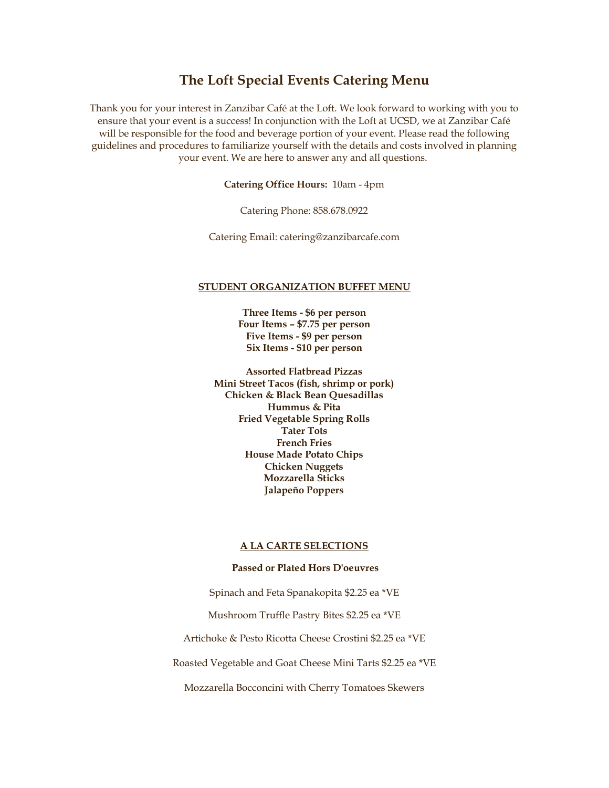## **The Loft Special Events Catering Menu**

Thank you for your interest in Zanzibar Café at the Loft. We look forward to working with you to ensure that your event is a success! In conjunction with the Loft at UCSD, we at Zanzibar Café will be responsible for the food and beverage portion of your event. Please read the following guidelines and procedures to familiarize yourself with the details and costs involved in planning your event. We are here to answer any and all questions.

**Catering Office Hours:** 10am - 4pm

Catering Phone: 858.678.0922

Catering Email: catering@zanzibarcafe.com

#### **STUDENT ORGANIZATION BUFFET MENU**

**Three Items - \$6 per person Four Items – \$7.75 per person Five Items - \$9 per person Six Items - \$10 per person**

**Assorted Flatbread Pizzas Mini Street Tacos (fish, shrimp or pork) Chicken & Black Bean Quesadillas Hummus & Pita Fried Vegetable Spring Rolls Tater Tots French Fries House Made Potato Chips Chicken Nuggets Mozzarella Sticks Jalapeño Poppers**

#### **A LA CARTE SELECTIONS**

#### **Passed or Plated Hors D'oeuvres**

Spinach and Feta Spanakopita \$2.25 ea \*VE

Mushroom Truffle Pastry Bites \$2.25 ea \*VE

Artichoke & Pesto Ricotta Cheese Crostini \$2.25 ea \*VE

Roasted Vegetable and Goat Cheese Mini Tarts \$2.25 ea \*VE

Mozzarella Bocconcini with Cherry Tomatoes Skewers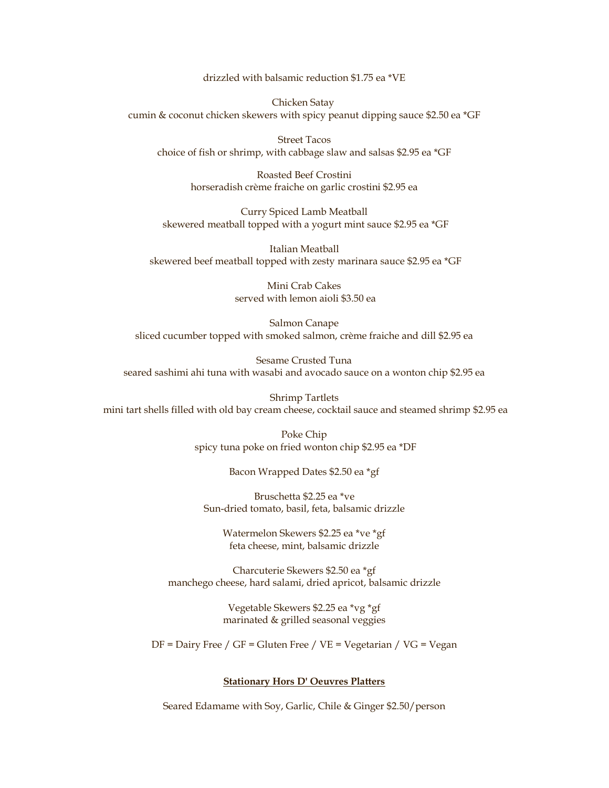drizzled with balsamic reduction \$1.75 ea \*VE

Chicken Satay cumin & coconut chicken skewers with spicy peanut dipping sauce \$2.50 ea \*GF

Street Tacos choice of fish or shrimp, with cabbage slaw and salsas \$2.95 ea \*GF

> Roasted Beef Crostini horseradish crème fraiche on garlic crostini \$2.95 ea

Curry Spiced Lamb Meatball skewered meatball topped with a yogurt mint sauce \$2.95 ea \*GF

Italian Meatball skewered beef meatball topped with zesty marinara sauce \$2.95 ea \*GF

> Mini Crab Cakes served with lemon aioli \$3.50 ea

Salmon Canape sliced cucumber topped with smoked salmon, crème fraiche and dill \$2.95 ea

Sesame Crusted Tuna seared sashimi ahi tuna with wasabi and avocado sauce on a wonton chip \$2.95 ea

Shrimp Tartlets mini tart shells filled with old bay cream cheese, cocktail sauce and steamed shrimp \$2.95 ea

> Poke Chip spicy tuna poke on fried wonton chip \$2.95 ea \*DF

> > Bacon Wrapped Dates \$2.50 ea \*gf

Bruschetta \$2.25 ea \*ve Sun-dried tomato, basil, feta, balsamic drizzle

> Watermelon Skewers \$2.25 ea \*ve \*gf feta cheese, mint, balsamic drizzle

Charcuterie Skewers \$2.50 ea \*gf manchego cheese, hard salami, dried apricot, balsamic drizzle

> Vegetable Skewers \$2.25 ea \*vg \*gf marinated & grilled seasonal veggies

DF = Dairy Free / GF = Gluten Free / VE = Vegetarian / VG = Vegan

#### **Stationary Hors D' Oeuvres Platters**

Seared Edamame with Soy, Garlic, Chile & Ginger \$2.50/person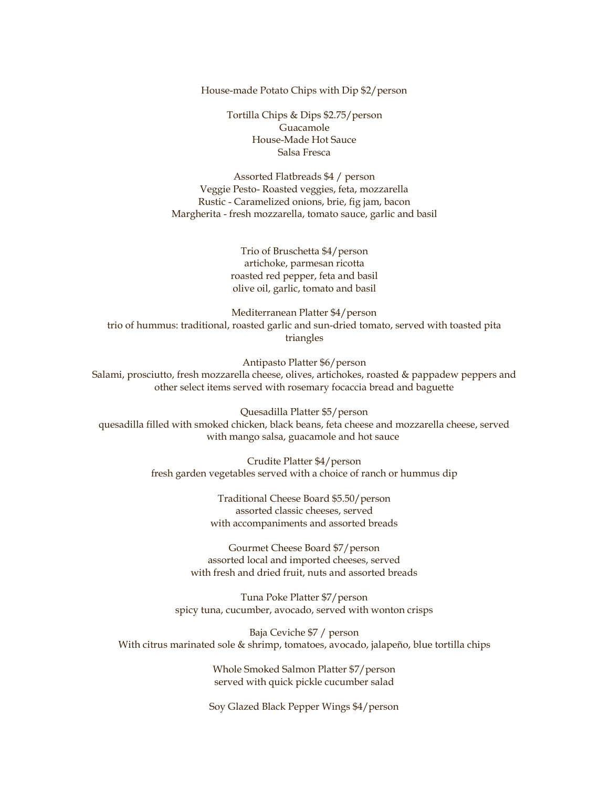House-made Potato Chips with Dip \$2/person

Tortilla Chips & Dips \$2.75/person Guacamole House-Made Hot Sauce Salsa Fresca

Assorted Flatbreads \$4 / person Veggie Pesto- Roasted veggies, feta, mozzarella Rustic - Caramelized onions, brie, fig jam, bacon Margherita - fresh mozzarella, tomato sauce, garlic and basil

> Trio of Bruschetta \$4/person artichoke, parmesan ricotta roasted red pepper, feta and basil olive oil, garlic, tomato and basil

Mediterranean Platter \$4/person trio of hummus: traditional, roasted garlic and sun-dried tomato, served with toasted pita triangles

Antipasto Platter \$6/person Salami, prosciutto, fresh mozzarella cheese, olives, artichokes, roasted & pappadew peppers and other select items served with rosemary focaccia bread and baguette

Quesadilla Platter \$5/person quesadilla filled with smoked chicken, black beans, feta cheese and mozzarella cheese, served with mango salsa, guacamole and hot sauce

> Crudite Platter \$4/person fresh garden vegetables served with a choice of ranch or hummus dip

> > Traditional Cheese Board \$5.50/person assorted classic cheeses, served with accompaniments and assorted breads

Gourmet Cheese Board \$7/person assorted local and imported cheeses, served with fresh and dried fruit, nuts and assorted breads

Tuna Poke Platter \$7/person spicy tuna, cucumber, avocado, served with wonton crisps

Baja Ceviche \$7 / person With citrus marinated sole & shrimp, tomatoes, avocado, jalapeño, blue tortilla chips

> Whole Smoked Salmon Platter \$7/person served with quick pickle cucumber salad

Soy Glazed Black Pepper Wings \$4/person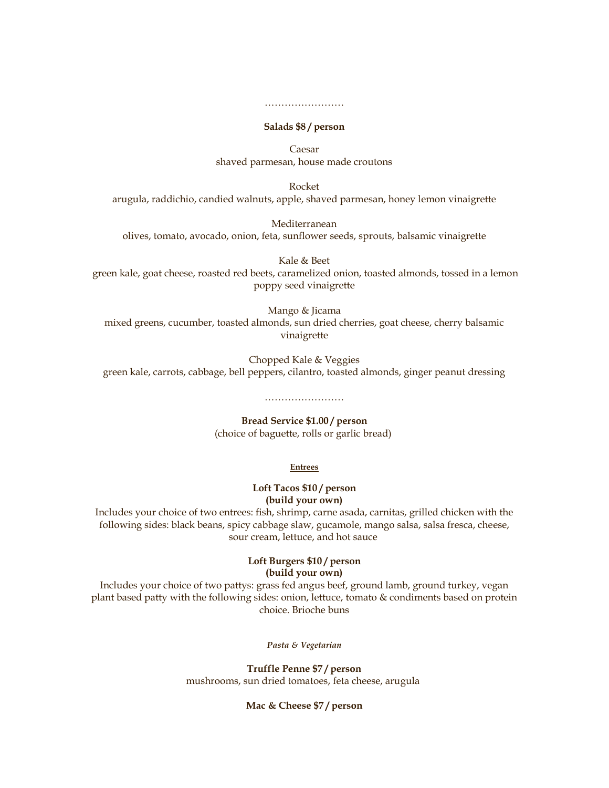#### **Salads \$8 / person**

……………………

Caesar shaved parmesan, house made croutons

Rocket arugula, raddichio, candied walnuts, apple, shaved parmesan, honey lemon vinaigrette

Mediterranean olives, tomato, avocado, onion, feta, sunflower seeds, sprouts, balsamic vinaigrette

Kale & Beet green kale, goat cheese, roasted red beets, caramelized onion, toasted almonds, tossed in a lemon poppy seed vinaigrette

Mango & Jicama mixed greens, cucumber, toasted almonds, sun dried cherries, goat cheese, cherry balsamic vinaigrette

Chopped Kale & Veggies green kale, carrots, cabbage, bell peppers, cilantro, toasted almonds, ginger peanut dressing

# **Bread Service \$1.00 / person**

……………………

(choice of baguette, rolls or garlic bread)

#### **Entrees**

#### **Loft Tacos \$10 / person (build your own)**

Includes your choice of two entrees: fish, shrimp, carne asada, carnitas, grilled chicken with the following sides: black beans, spicy cabbage slaw, gucamole, mango salsa, salsa fresca, cheese, sour cream, lettuce, and hot sauce

### **Loft Burgers \$10 / person (build your own)**

Includes your choice of two pattys: grass fed angus beef, ground lamb, ground turkey, vegan plant based patty with the following sides: onion, lettuce, tomato & condiments based on protein choice. Brioche buns

*Pasta & Vegetarian*

**Truffle Penne \$7 / person** mushrooms, sun dried tomatoes, feta cheese, arugula

#### **Mac & Cheese \$7 / person**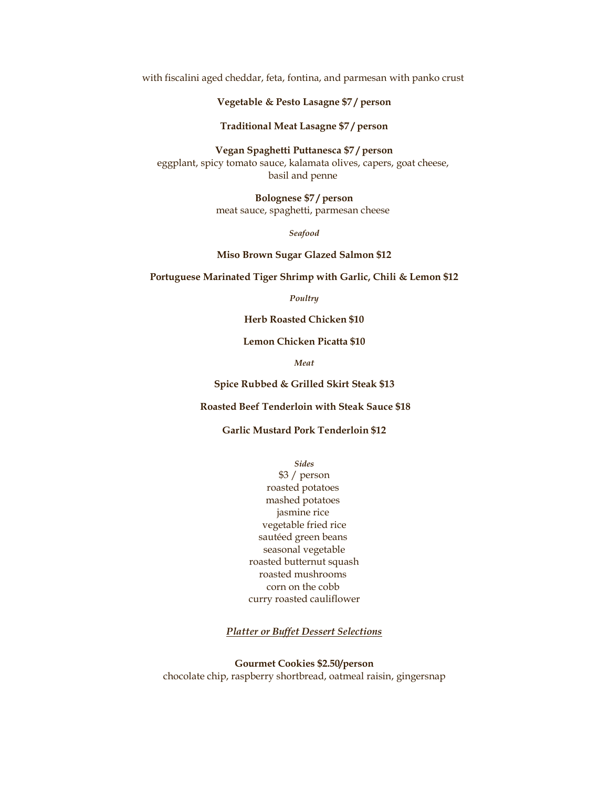with fiscalini aged cheddar, feta, fontina, and parmesan with panko crust

#### **Vegetable & Pesto Lasagne \$7 / person**

**Traditional Meat Lasagne \$7 / person**

**Vegan Spaghetti Puttanesca \$7 / person** eggplant, spicy tomato sauce, kalamata olives, capers, goat cheese, basil and penne

> **Bolognese \$7 / person** meat sauce, spaghetti, parmesan cheese

> > *Seafood*

**Miso Brown Sugar Glazed Salmon \$12**

**Portuguese Marinated Tiger Shrimp with Garlic, Chili & Lemon \$12**

*Poultry*

**Herb Roasted Chicken \$10**

**Lemon Chicken Picatta \$10**

*Meat*

**Spice Rubbed & Grilled Skirt Steak \$13**

**Roasted Beef Tenderloin with Steak Sauce \$18**

#### **Garlic Mustard Pork Tenderloin \$12**

*Sides*

\$3 / person roasted potatoes mashed potatoes jasmine rice vegetable fried rice sautéed green beans seasonal vegetable roasted butternut squash roasted mushrooms corn on the cobb curry roasted cauliflower

*Platter or Buffet Dessert Selections*

**Gourmet Cookies \$2.50/person** chocolate chip, raspberry shortbread, oatmeal raisin, gingersnap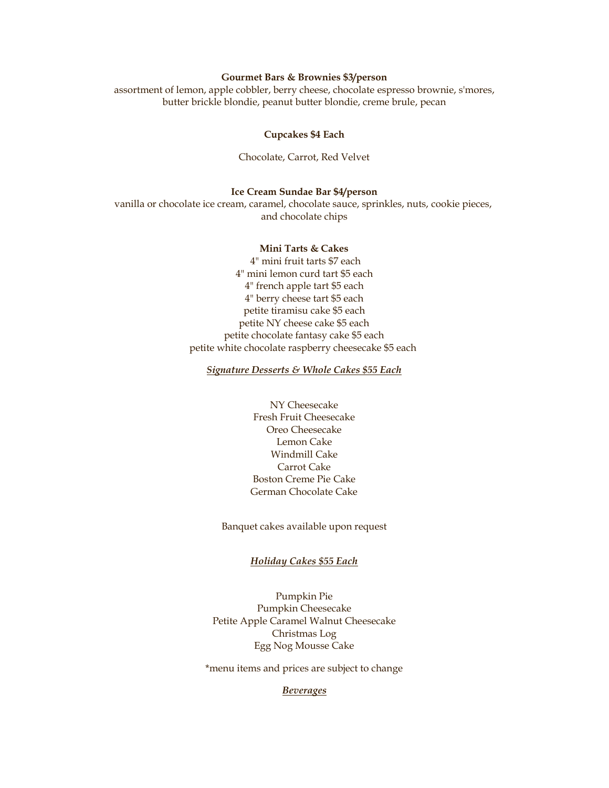#### **Gourmet Bars & Brownies \$3/person**

assortment of lemon, apple cobbler, berry cheese, chocolate espresso brownie, s'mores, butter brickle blondie, peanut butter blondie, creme brule, pecan

#### **Cupcakes \$4 Each**

Chocolate, Carrot, Red Velvet

#### **Ice Cream Sundae Bar \$4/person**

vanilla or chocolate ice cream, caramel, chocolate sauce, sprinkles, nuts, cookie pieces, and chocolate chips

#### **Mini Tarts & Cakes**

4" mini fruit tarts \$7 each 4" mini lemon curd tart \$5 each 4" french apple tart \$5 each 4" berry cheese tart \$5 each petite tiramisu cake \$5 each petite NY cheese cake \$5 each petite chocolate fantasy cake \$5 each petite white chocolate raspberry cheesecake \$5 each

#### *Signature Desserts & Whole Cakes \$55 Each*

NY Cheesecake Fresh Fruit Cheesecake Oreo Cheesecake Lemon Cake Windmill Cake Carrot Cake Boston Creme Pie Cake German Chocolate Cake

Banquet cakes available upon request

#### *Holiday Cakes \$55 Each*

Pumpkin Pie Pumpkin Cheesecake Petite Apple Caramel Walnut Cheesecake Christmas Log Egg Nog Mousse Cake

\*menu items and prices are subject to change

#### *Beverages*